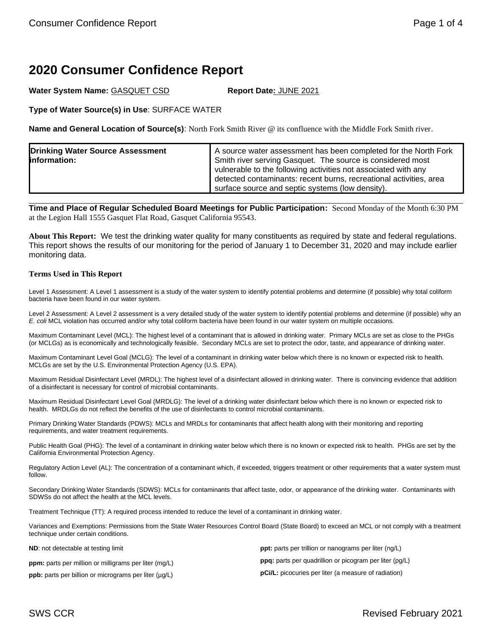# **2020 Consumer Confidence Report**

Water System Name: GASQUET CSD **Report Date: JUNE 2021** 

**Type of Water Source(s) in Use**: SURFACE WATER

**Name and General Location of Source(s)**: North Fork Smith River @ its confluence with the Middle Fork Smith river.

| vulnerable to the following activities not associated with any<br>detected contaminants: recent burns, recreational activities, area<br>surface source and septic systems (low density). | <b>Drinking Water Source Assessment</b><br>information: | A source water assessment has been completed for the North Fork<br>Smith river serving Gasquet. The source is considered most |
|------------------------------------------------------------------------------------------------------------------------------------------------------------------------------------------|---------------------------------------------------------|-------------------------------------------------------------------------------------------------------------------------------|
|------------------------------------------------------------------------------------------------------------------------------------------------------------------------------------------|---------------------------------------------------------|-------------------------------------------------------------------------------------------------------------------------------|

**Time and Place of Regular Scheduled Board Meetings for Public Participation:** Second Monday of the Month 6:30 PM at the Legion Hall 1555 Gasquet Flat Road, Gasquet California 95543.

**About This Report:** We test the drinking water quality for many constituents as required by state and federal regulations. This report shows the results of our monitoring for the period of January 1 to December 31, 2020 and may include earlier monitoring data.

### **Terms Used in This Report**

Level 1 Assessment: A Level 1 assessment is a study of the water system to identify potential problems and determine (if possible) why total coliform bacteria have been found in our water system.

Level 2 Assessment: A Level 2 assessment is a very detailed study of the water system to identify potential problems and determine (if possible) why an *E. coli* MCL violation has occurred and/or why total coliform bacteria have been found in our water system on multiple occasions.

Maximum Contaminant Level (MCL): The highest level of a contaminant that is allowed in drinking water. Primary MCLs are set as close to the PHGs (or MCLGs) as is economically and technologically feasible. Secondary MCLs are set to protect the odor, taste, and appearance of drinking water.

Maximum Contaminant Level Goal (MCLG): The level of a contaminant in drinking water below which there is no known or expected risk to health. MCLGs are set by the U.S. Environmental Protection Agency (U.S. EPA).

Maximum Residual Disinfectant Level (MRDL): The highest level of a disinfectant allowed in drinking water. There is convincing evidence that addition of a disinfectant is necessary for control of microbial contaminants.

Maximum Residual Disinfectant Level Goal (MRDLG): The level of a drinking water disinfectant below which there is no known or expected risk to health. MRDLGs do not reflect the benefits of the use of disinfectants to control microbial contaminants.

Primary Drinking Water Standards (PDWS): MCLs and MRDLs for contaminants that affect health along with their monitoring and reporting requirements, and water treatment requirements.

Public Health Goal (PHG): The level of a contaminant in drinking water below which there is no known or expected risk to health. PHGs are set by the California Environmental Protection Agency.

Regulatory Action Level (AL): The concentration of a contaminant which, if exceeded, triggers treatment or other requirements that a water system must follow.

Secondary Drinking Water Standards (SDWS): MCLs for contaminants that affect taste, odor, or appearance of the drinking water. Contaminants with SDWSs do not affect the health at the MCL levels.

Treatment Technique (TT): A required process intended to reduce the level of a contaminant in drinking water.

Variances and Exemptions: Permissions from the State Water Resources Control Board (State Board) to exceed an MCL or not comply with a treatment technique under certain conditions.

**ND**: not detectable at testing limit

**ppm:** parts per million or milligrams per liter (mg/L)

**ppb:** parts per billion or micrograms per liter (µg/L)

**ppt:** parts per trillion or nanograms per liter (ng/L) **ppq:** parts per quadrillion or picogram per liter (pg/L) **pCi/L:** picocuries per liter (a measure of radiation)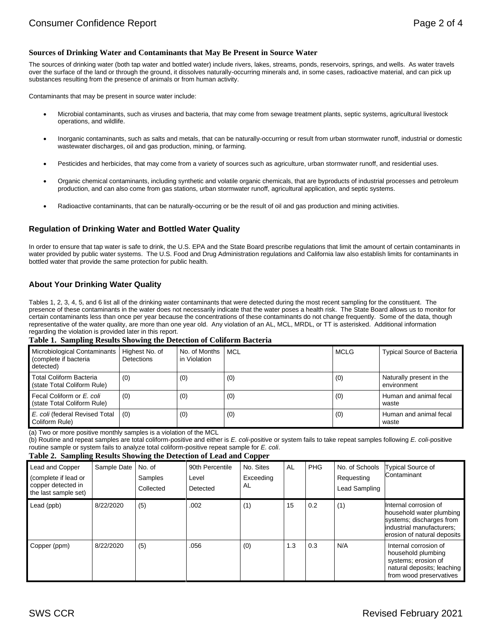#### **Sources of Drinking Water and Contaminants that May Be Present in Source Water**

The sources of drinking water (both tap water and bottled water) include rivers, lakes, streams, ponds, reservoirs, springs, and wells. As water travels over the surface of the land or through the ground, it dissolves naturally-occurring minerals and, in some cases, radioactive material, and can pick up substances resulting from the presence of animals or from human activity.

Contaminants that may be present in source water include:

- Microbial contaminants, such as viruses and bacteria, that may come from sewage treatment plants, septic systems, agricultural livestock operations, and wildlife.
- Inorganic contaminants, such as salts and metals, that can be naturally-occurring or result from urban stormwater runoff, industrial or domestic wastewater discharges, oil and gas production, mining, or farming.
- Pesticides and herbicides, that may come from a variety of sources such as agriculture, urban stormwater runoff, and residential uses.
- Organic chemical contaminants, including synthetic and volatile organic chemicals, that are byproducts of industrial processes and petroleum production, and can also come from gas stations, urban stormwater runoff, agricultural application, and septic systems.
- Radioactive contaminants, that can be naturally-occurring or be the result of oil and gas production and mining activities.

### **Regulation of Drinking Water and Bottled Water Quality**

In order to ensure that tap water is safe to drink, the U.S. EPA and the State Board prescribe regulations that limit the amount of certain contaminants in water provided by public water systems. The U.S. Food and Drug Administration regulations and California law also establish limits for contaminants in bottled water that provide the same protection for public health.

### **About Your Drinking Water Quality**

Tables 1, 2, 3, 4, 5, and 6 list all of the drinking water contaminants that were detected during the most recent sampling for the constituent. The presence of these contaminants in the water does not necessarily indicate that the water poses a health risk. The State Board allows us to monitor for certain contaminants less than once per year because the concentrations of these contaminants do not change frequently. Some of the data, though representative of the water quality, are more than one year old. Any violation of an AL, MCL, MRDL, or TT is asterisked. Additional information regarding the violation is provided later in this report.

#### **Table 1. Sampling Results Showing the Detection of Coliform Bacteria**

| <b>Microbiological Contaminants</b><br>(complete if bacteria<br>detected) | Highest No. of<br><b>Detections</b> | No. of Months<br>in Violation | <b>MCL</b> | <b>MCLG</b> | <b>Typical Source of Bacteria</b>       |
|---------------------------------------------------------------------------|-------------------------------------|-------------------------------|------------|-------------|-----------------------------------------|
| <b>Total Coliform Bacteria</b><br>(state Total Coliform Rule)             | (0)                                 | (0)                           | (0)        | (0)         | Naturally present in the<br>environment |
| Fecal Coliform or E. coli<br>(state Total Coliform Rule)                  | (0)                                 | (0)                           | (0)        | (0)         | Human and animal fecal<br>waste         |
| E. coli (federal Revised Total<br>Coliform Rule)                          | (0)                                 | (0)                           | (0)        | (0)         | Human and animal fecal<br>waste         |

(a) Two or more positive monthly samples is a violation of the MCL

(b) Routine and repeat samples are total coliform-positive and either is *E. coli*-positive or system fails to take repeat samples following *E. coli*-positive routine sample or system fails to analyze total coliform-positive repeat sample for *E. coli*.

#### **Table 2. Sampling Results Showing the Detection of Lead and Copper**

| Lead and Copper<br>(complete if lead or<br>copper detected in<br>the last sample set) | Sample Date | No. of<br>Samples<br>Collected | 90th Percentile<br>Level<br>Detected | No. Sites<br>Exceeding<br>AL | AL                      | <b>PHG</b> | No. of Schools<br>Requesting<br>Lead Sampling | <b>Typical Source of</b><br>Contaminant                                                                                                   |
|---------------------------------------------------------------------------------------|-------------|--------------------------------|--------------------------------------|------------------------------|-------------------------|------------|-----------------------------------------------|-------------------------------------------------------------------------------------------------------------------------------------------|
| Lead (ppb)                                                                            | 8/22/2020   | (5)                            | .002                                 | (1)                          | 15                      | 0.2        | (1)                                           | Internal corrosion of<br>household water plumbing<br>systems; discharges from<br>industrial manufacturers:<br>erosion of natural deposits |
| Copper (ppm)                                                                          | 8/22/2020   | (5)                            | .056                                 | (0)                          | $\mathsf{L}.\mathsf{3}$ | 0.3        | N/A                                           | Internal corrosion of<br>household plumbing<br>systems; erosion of<br>natural deposits; leaching<br>from wood preservatives               |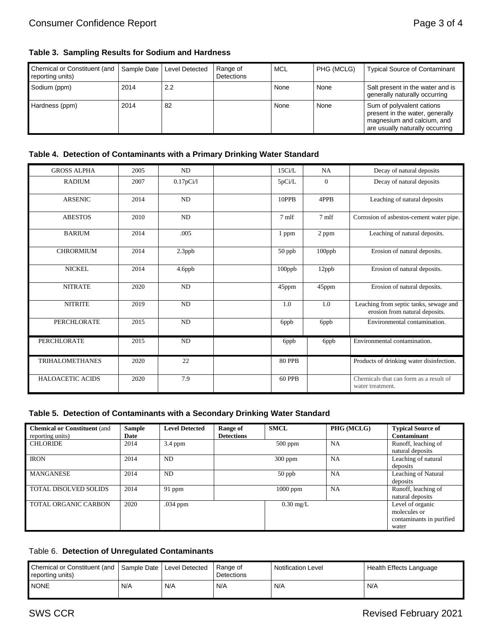# **Table 3. Sampling Results for Sodium and Hardness**

| Chemical or Constituent (and<br>reporting units) | Sample Date | Level Detected | Range of<br>Detections | <b>MCL</b> | PHG (MCLG) | <b>Typical Source of Contaminant</b>                                                                                          |
|--------------------------------------------------|-------------|----------------|------------------------|------------|------------|-------------------------------------------------------------------------------------------------------------------------------|
| Sodium (ppm)                                     | 2014        | 2.2            |                        | None       | None       | Salt present in the water and is<br>generally naturally occurring                                                             |
| Hardness (ppm)                                   | 2014        | 82             |                        | None       | None       | Sum of polyvalent cations<br>present in the water, generally<br>magnesium and calcium, and<br>are usually naturally occurring |

## **Table 4. Detection of Contaminants with a Primary Drinking Water Standard**

| <b>GROSS ALPHA</b>      | 2005 | ND        | 15Ci/L        | NA           | Decay of natural deposits                                                |
|-------------------------|------|-----------|---------------|--------------|--------------------------------------------------------------------------|
| <b>RADIUM</b>           | 2007 | 0.17pCi/1 | 5pCi/L        | $\mathbf{0}$ | Decay of natural deposits                                                |
| <b>ARSENIC</b>          | 2014 | ND        | 10PPB         | 4PPB         | Leaching of natural deposits                                             |
| <b>ABESTOS</b>          | 2010 | ND        | 7 mlf         | 7 mlf        | Corrosion of asbestos-cement water pipe.                                 |
| <b>BARIUM</b>           | 2014 | .005      | 1 ppm         | 2 ppm        | Leaching of natural deposits.                                            |
| <b>CHRORMIUM</b>        | 2014 | 2.3ppb    | 50 ppb        | 100ppb       | Erosion of natural deposits.                                             |
| <b>NICKEL</b>           | 2014 | 4.6ppb    | 100ppb        | 12ppb        | Erosion of natural deposits.                                             |
| <b>NITRATE</b>          | 2020 | ND        | 45ppm         | 45ppm        | Erosion of natural deposits.                                             |
| <b>NITRITE</b>          | 2019 | $\rm ND$  | 1.0           | 1.0          | Leaching from septic tanks, sewage and<br>erosion from natural deposits. |
| <b>PERCHLORATE</b>      | 2015 | <b>ND</b> | 6ppb          | 6ppb         | Environmental contamination.                                             |
| <b>PERCHLORATE</b>      | 2015 | ND        | 6ppb          | 6ppb         | Environmental contamination.                                             |
| <b>TRIHALOMETHANES</b>  | 2020 | 22        | <b>80 PPB</b> |              | Products of drinking water disinfection.                                 |
| <b>HALOACETIC ACIDS</b> | 2020 | 7.9       | <b>60 PPB</b> |              | Chemicals that can form as a result of<br>water treatment.               |

# **Table 5. Detection of Contaminants with a Secondary Drinking Water Standard**

| <b>Chemical or Constituent (and</b><br>reporting units) | <b>Sample</b><br>Date | <b>Level Detected</b> | Range of<br><b>Detections</b> | <b>SMCL</b> | PHG (MCLG) | <b>Typical Source of</b><br>Contaminant                               |
|---------------------------------------------------------|-----------------------|-----------------------|-------------------------------|-------------|------------|-----------------------------------------------------------------------|
| <b>CHLORIDE</b>                                         | 2014                  | $3.4$ ppm             |                               | $500$ ppm   | <b>NA</b>  | Runoff, leaching of<br>natural deposits                               |
| <b>IRON</b>                                             | 2014                  | ND                    |                               | $300$ ppm   | NA         | Leaching of natural<br>deposits                                       |
| <b>MANGANESE</b>                                        | 2014                  | ND                    |                               | $50$ ppb    | <b>NA</b>  | Leaching of Natural<br>deposits                                       |
| <b>TOTAL DISOLVED SOLIDS</b>                            | 2014                  | $91$ ppm              |                               | $1000$ ppm  | NA         | Runoff, leaching of<br>natural deposits                               |
| TOTAL ORGANIC CARBON                                    | 2020                  | $.034$ ppm            |                               | $0.30$ mg/L |            | Level of organic<br>molecules or<br>contaminants in purified<br>water |

# Table 6. **Detection of Unregulated Contaminants**

| Chemical or Constituent (and   Sample Date   Level Detected<br>reporting units) |     |     | Range of<br>Detections | <b>Notification Level</b> | Health Effects Language |
|---------------------------------------------------------------------------------|-----|-----|------------------------|---------------------------|-------------------------|
| <b>NONE</b>                                                                     | N/A | N/A | N/A                    | N/A                       | N/A                     |